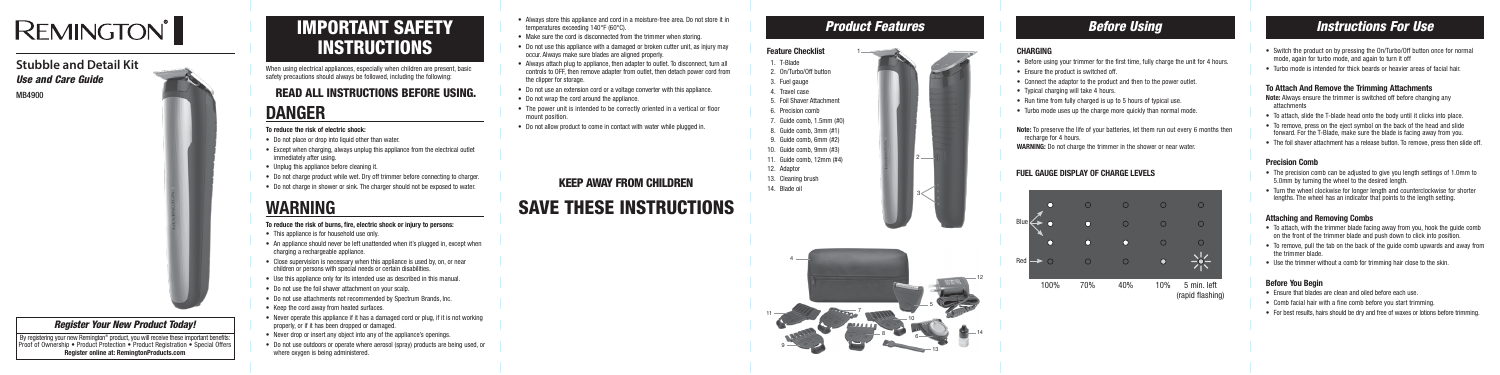When using electrical appliances, especially when children are present, basic safety precautions should always be followed, including the following:

# READ ALL INSTRUCTIONS BEFORE USING.

# **DANGER To reduce the risk of electric shock:**

- Do not place or drop into liquid other than water.
- Except when charging, always unplug this appliance from the electrical outlet immediately after using.
- Unplug this appliance before cleaning it.
- Do not charge product while wet. Dry off trimmer before connecting to charger.
- Do not charge in shower or sink. The charger should not be exposed to water.

# **WARNING**<br>To reduce the risk of burns, fire, electric shock or injury to persons:

- This appliance is for household use only.
- An appliance should never be left unattended when it's plugged in, except when charging a rechargeable appliance.
- Close supervision is necessary when this appliance is used by, on, or near children or persons with special needs or certain disabilities.
- Use this appliance only for its intended use as described in this manual.
- Do not use the foil shaver attachment on your scalp.
- Do not use attachments not recommended by Spectrum Brands, Inc.
- Keep the cord away from heated surfaces.
- Never operate this appliance if it has a damaged cord or plug, if it is not working properly, or if it has been dropped or damaged.
- Never drop or insert any object into any of the appliance's openings.
- Do not use outdoors or operate where aerosol (spray) products are being used, or where oxygen is being administered.
- Always store this appliance and cord in a moisture-free area. Do not store it in temperatures exceeding 140°F (60°C).
- Make sure the cord is disconnected from the trimmer when storing.
- Do not use this appliance with a damaged or broken cutter unit, as injury may occur. Always make sure blades are aligned properly.
- Always attach plug to appliance, then adapter to outlet. To disconnect, turn all controls to OFF, then remove adapter from outlet, then detach power cord from the clipper for storage.
- Do not use an extension cord or a voltage converter with this appliance.
- Do not wrap the cord around the appliance.
- The power unit is intended to be correctly oriented in a vertical or floor mount position.
- Do not allow product to come in contact with water while plugged in.
- Before using your trimmer for the first time, fully charge the unit for 4 hours.
- Ensure the product is switched off.
- Connect the adaptor to the product and then to the power outlet.
- Typical charging will take 4 hours.
- Run time from fully charged is up to 5 hours of typical use.
- Turbo mode uses up the charge more quickly than normal mode.
- **Note:** To preserve the life of your batteries, let them run out every 6 months then recharge for 4 hours.

# SAVE THESE INSTRUCTIONS

## KEEP AWAY FROM CHILDREN



# *Instructions For Use*

## *Register Your New Product Today!*

By registering your new Remington® product, you will receive these important benefits: Proof of Ownership • Product Protection • Product Registration • Special Offers Register online at: RemingtonProducts.com

# IMPORTANT SAFETY **INSTRUCTIONS**

# **REMINGTON**

# **Stubble and Detail Kit** *Use and Care Guide*

MB4900



11

## **Product Features <b>Before Using Before Using**



- Switch the product on by pressing the On/Turbo/Off button once for normal mode, again for turbo mode, and again to turn it off
- Turbo mode is intended for thick beards or heavier areas of facial hair.

#### To Attach And Remove the Trimming Attachments

Note: Always ensure the trimmer is switched off before changing any attachments

- To attach, slide the T-blade head onto the body until it clicks into place.
- To remove, press on the eject symbol on the back of the head and slide forward. For the T-Blade, make sure the blade is facing away from you.
- The foil shaver attachment has a release button. To remove, press then slide off.

#### Precision Comb

- The precision comb can be adjusted to give you length settings of 1.0mm to 5.0mm by turning the wheel to the desired length.
- Turn the wheel clockwise for longer length and counterclockwise for shorter lengths. The wheel has an indicator that points to the length setting.

#### Attaching and Removing Combs

- To attach, with the trimmer blade facing away from you, hook the guide comb on the front of the trimmer blade and push down to click into position.
- To remove, pull the tab on the back of the guide comb upwards and away from the trimmer blade.
- Use the trimmer without a comb for trimming hair close to the skin.

#### Before You Begin

- Ensure that blades are clean and oiled before each use.
- Comb facial hair with a fine comb before you start trimming.
- For best results, hairs should be dry and free of waxes or lotions before trimming.

1



#### CHARGING

**WARNING:** Do not charge the trimmer in the shower or near water.

## FUEL GAUGE DISPLAY OF CHARGE LEVELS